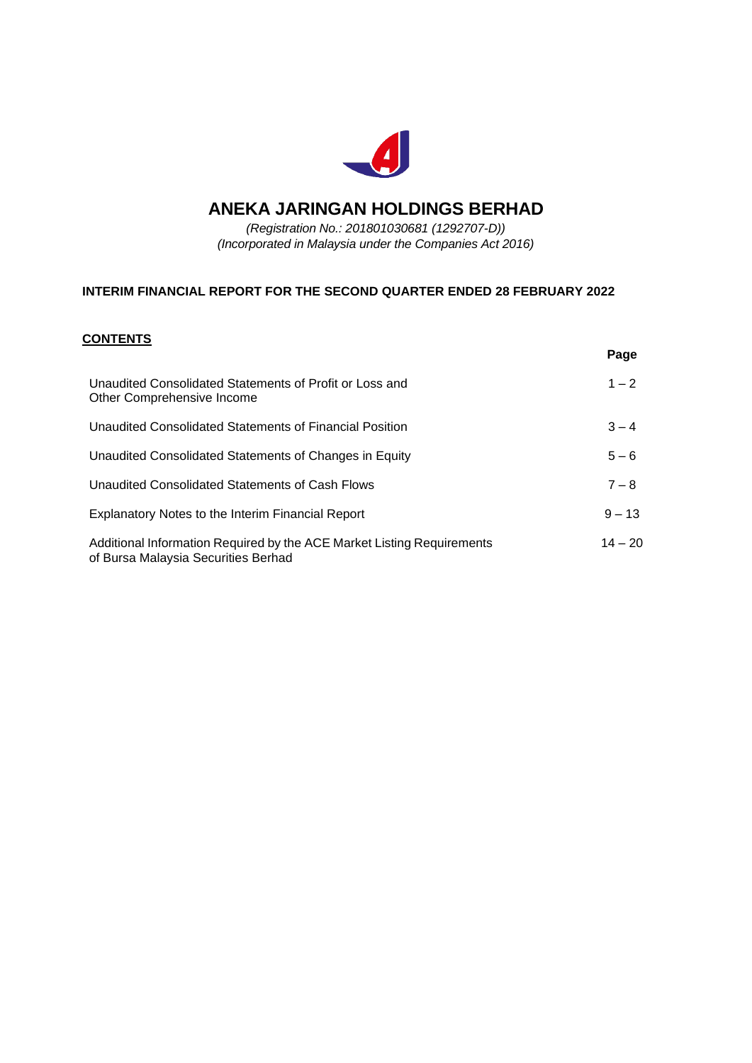

# **ANEKA JARINGAN HOLDINGS BERHAD**

*(Registration No.: 201801030681 (1292707-D)) (Incorporated in Malaysia under the Companies Act 2016)*

# **INTERIM FINANCIAL REPORT FOR THE SECOND QUARTER ENDED 28 FEBRUARY 2022**

# **CONTENTS**

|                                                                                                               | Page      |
|---------------------------------------------------------------------------------------------------------------|-----------|
| Unaudited Consolidated Statements of Profit or Loss and<br>Other Comprehensive Income                         | $1 - 2$   |
| Unaudited Consolidated Statements of Financial Position                                                       | $3 - 4$   |
| Unaudited Consolidated Statements of Changes in Equity                                                        | $5 - 6$   |
| Unaudited Consolidated Statements of Cash Flows                                                               | $7 - 8$   |
| Explanatory Notes to the Interim Financial Report                                                             | $9 - 13$  |
| Additional Information Required by the ACE Market Listing Requirements<br>of Bursa Malaysia Securities Berhad | $14 - 20$ |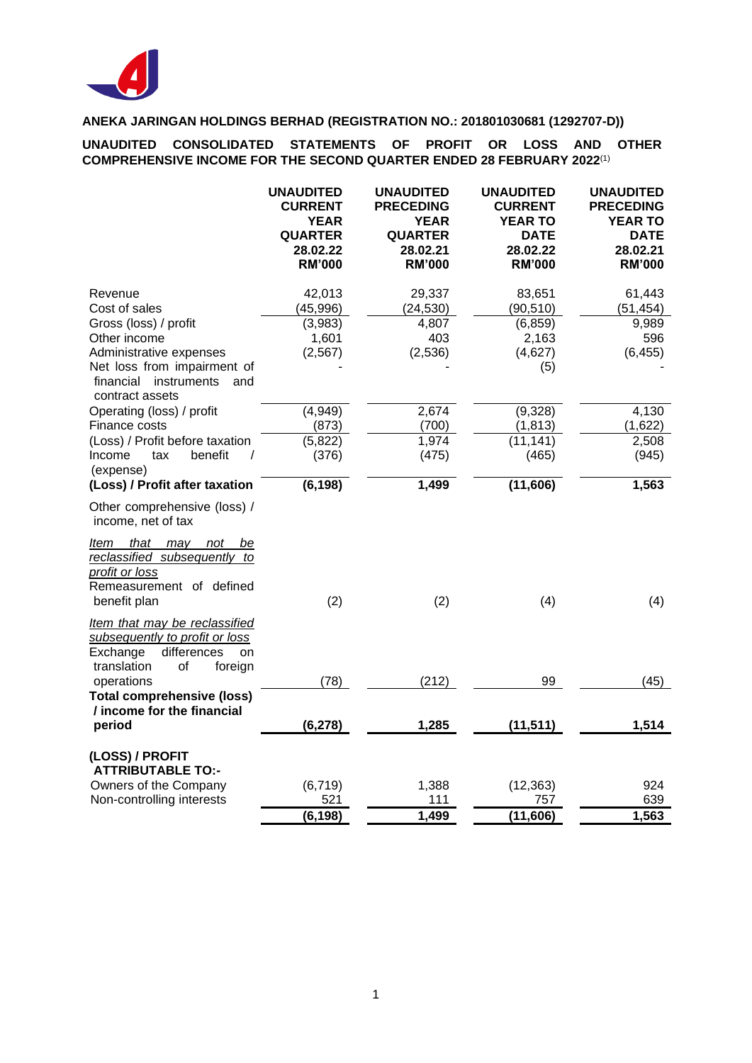

**UNAUDITED CONSOLIDATED STATEMENTS OF PROFIT OR LOSS AND OTHER COMPREHENSIVE INCOME FOR THE SECOND QUARTER ENDED 28 FEBRUARY 2022**(1)

|                                                                                                                                  | <b>UNAUDITED</b><br><b>CURRENT</b><br><b>YEAR</b><br><b>QUARTER</b><br>28.02.22<br><b>RM'000</b> | <b>UNAUDITED</b><br><b>PRECEDING</b><br><b>YEAR</b><br><b>QUARTER</b><br>28.02.21<br><b>RM'000</b> | <b>UNAUDITED</b><br><b>CURRENT</b><br><b>YEAR TO</b><br><b>DATE</b><br>28.02.22<br><b>RM'000</b> | <b>UNAUDITED</b><br><b>PRECEDING</b><br><b>YEAR TO</b><br><b>DATE</b><br>28.02.21<br><b>RM'000</b> |
|----------------------------------------------------------------------------------------------------------------------------------|--------------------------------------------------------------------------------------------------|----------------------------------------------------------------------------------------------------|--------------------------------------------------------------------------------------------------|----------------------------------------------------------------------------------------------------|
| Revenue                                                                                                                          | 42,013                                                                                           | 29,337                                                                                             | 83,651                                                                                           | 61,443                                                                                             |
| Cost of sales                                                                                                                    | (45, 996)                                                                                        | (24, 530)                                                                                          | (90, 510)                                                                                        | (51, 454)                                                                                          |
| Gross (loss) / profit                                                                                                            | (3,983)                                                                                          | 4,807                                                                                              | (6, 859)                                                                                         | 9,989                                                                                              |
| Other income                                                                                                                     | 1,601                                                                                            | 403                                                                                                | 2,163                                                                                            | 596                                                                                                |
| Administrative expenses                                                                                                          | (2, 567)                                                                                         | (2,536)                                                                                            | (4,627)                                                                                          | (6, 455)                                                                                           |
| Net loss from impairment of<br>financial<br>instruments<br>and<br>contract assets                                                |                                                                                                  |                                                                                                    | (5)                                                                                              |                                                                                                    |
| Operating (loss) / profit                                                                                                        | (4,949)                                                                                          | 2,674                                                                                              | (9,328)                                                                                          | 4,130                                                                                              |
| Finance costs                                                                                                                    | (873)                                                                                            | (700)                                                                                              | (1, 813)                                                                                         | (1,622)                                                                                            |
| (Loss) / Profit before taxation                                                                                                  | (5,822)                                                                                          | 1,974                                                                                              | (11, 141)                                                                                        | 2,508                                                                                              |
| Income<br>tax<br>benefit<br>$\prime$<br>(expense)                                                                                | (376)                                                                                            | (475)                                                                                              | (465)                                                                                            | (945)                                                                                              |
| (Loss) / Profit after taxation                                                                                                   | (6, 198)                                                                                         | 1,499                                                                                              | (11,606)                                                                                         | 1,563                                                                                              |
| Other comprehensive (loss) /<br>income, net of tax                                                                               |                                                                                                  |                                                                                                    |                                                                                                  |                                                                                                    |
| that<br>may<br>ltem<br>not<br>be<br>reclassified subsequently to<br>profit or loss<br>Remeasurement of defined<br>benefit plan   | (2)                                                                                              | (2)                                                                                                | (4)                                                                                              | (4)                                                                                                |
| Item that may be reclassified<br>subsequently to profit or loss<br>differences<br>Exchange<br>on<br>translation<br>of<br>foreign |                                                                                                  |                                                                                                    |                                                                                                  |                                                                                                    |
| operations                                                                                                                       | (78)                                                                                             | (212)                                                                                              | 99                                                                                               | (45)                                                                                               |
| <b>Total comprehensive (loss)</b><br>/ income for the financial                                                                  |                                                                                                  |                                                                                                    |                                                                                                  |                                                                                                    |
| period                                                                                                                           | (6, 278)                                                                                         | 1,285                                                                                              | (11, 511)                                                                                        | 1,514                                                                                              |
| (LOSS) / PROFIT<br><b>ATTRIBUTABLE TO:-</b>                                                                                      |                                                                                                  |                                                                                                    |                                                                                                  |                                                                                                    |
| Owners of the Company                                                                                                            | (6, 719)                                                                                         | 1,388                                                                                              | (12, 363)                                                                                        | 924                                                                                                |
| Non-controlling interests                                                                                                        | 521                                                                                              | 111                                                                                                | 757                                                                                              | 639                                                                                                |
|                                                                                                                                  | (6, 198)                                                                                         | 1,499                                                                                              | (11,606)                                                                                         | 1,563                                                                                              |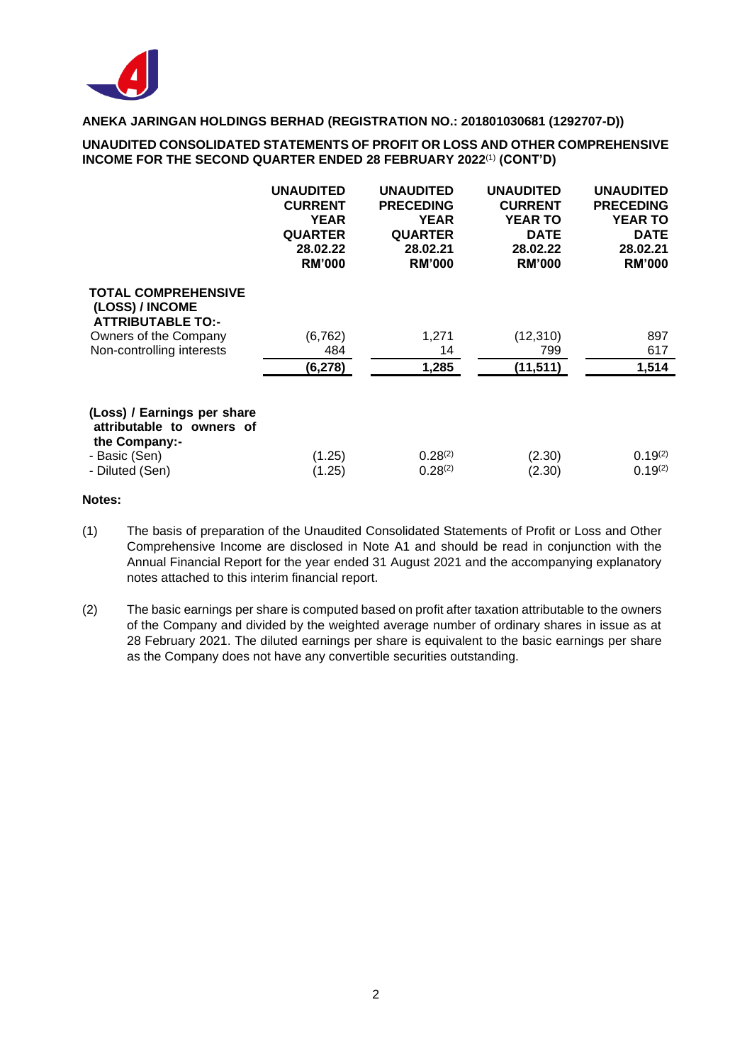

### **UNAUDITED CONSOLIDATED STATEMENTS OF PROFIT OR LOSS AND OTHER COMPREHENSIVE INCOME FOR THE SECOND QUARTER ENDED 28 FEBRUARY 2022**(1) **(CONT'D)**

|                                                                           | <b>UNAUDITED</b><br><b>CURRENT</b><br><b>YEAR</b><br><b>QUARTER</b><br>28.02.22<br><b>RM'000</b> | <b>UNAUDITED</b><br><b>PRECEDING</b><br><b>YEAR</b><br><b>QUARTER</b><br>28.02.21<br><b>RM'000</b> | <b>UNAUDITED</b><br><b>CURRENT</b><br><b>YEAR TO</b><br><b>DATE</b><br>28.02.22<br><b>RM'000</b> | <b>UNAUDITED</b><br><b>PRECEDING</b><br><b>YEAR TO</b><br><b>DATE</b><br>28.02.21<br><b>RM'000</b> |
|---------------------------------------------------------------------------|--------------------------------------------------------------------------------------------------|----------------------------------------------------------------------------------------------------|--------------------------------------------------------------------------------------------------|----------------------------------------------------------------------------------------------------|
| <b>TOTAL COMPREHENSIVE</b><br>(LOSS) / INCOME<br><b>ATTRIBUTABLE TO:-</b> |                                                                                                  |                                                                                                    |                                                                                                  |                                                                                                    |
| Owners of the Company                                                     | (6, 762)                                                                                         | 1,271                                                                                              | (12, 310)                                                                                        | 897                                                                                                |
| Non-controlling interests                                                 | 484                                                                                              | 14                                                                                                 | 799                                                                                              | 617                                                                                                |
|                                                                           | (6, 278)                                                                                         | 1,285                                                                                              | (11, 511)                                                                                        | 1,514                                                                                              |
| (Loss) / Earnings per share<br>attributable to owners of<br>the Company:- |                                                                                                  |                                                                                                    |                                                                                                  |                                                                                                    |
| - Basic (Sen)                                                             | (1.25)                                                                                           | $0.28^{(2)}$                                                                                       | (2.30)                                                                                           | $0.19^{(2)}$                                                                                       |
| - Diluted (Sen)                                                           | (1.25)                                                                                           | $0.28^{(2)}$                                                                                       | (2.30)                                                                                           | $0.19^{(2)}$                                                                                       |

### **Notes:**

- (1) The basis of preparation of the Unaudited Consolidated Statements of Profit or Loss and Other Comprehensive Income are disclosed in Note A1 and should be read in conjunction with the Annual Financial Report for the year ended 31 August 2021 and the accompanying explanatory notes attached to this interim financial report.
- (2) The basic earnings per share is computed based on profit after taxation attributable to the owners of the Company and divided by the weighted average number of ordinary shares in issue as at 28 February 2021. The diluted earnings per share is equivalent to the basic earnings per share as the Company does not have any convertible securities outstanding.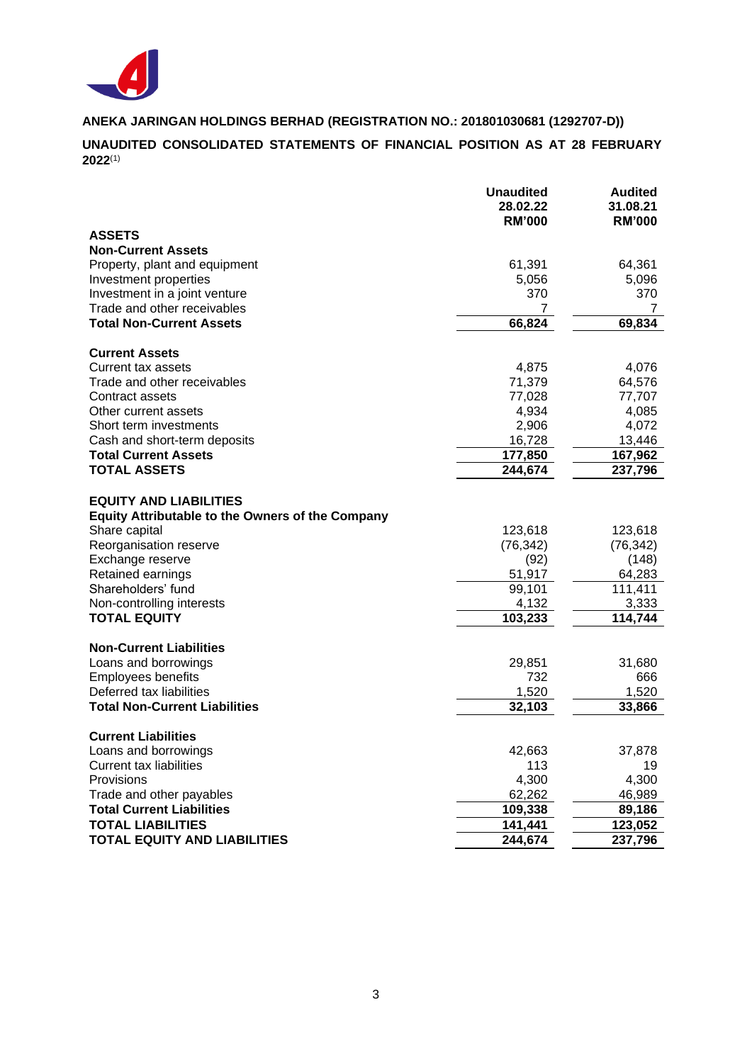

**UNAUDITED CONSOLIDATED STATEMENTS OF FINANCIAL POSITION AS AT 28 FEBRUARY 2022**(1)

|                                                                                          | <b>Unaudited</b><br>28.02.22<br><b>RM'000</b> | <b>Audited</b><br>31.08.21<br><b>RM'000</b> |
|------------------------------------------------------------------------------------------|-----------------------------------------------|---------------------------------------------|
| <b>ASSETS</b>                                                                            |                                               |                                             |
| <b>Non-Current Assets</b>                                                                |                                               |                                             |
| Property, plant and equipment                                                            | 61,391                                        | 64,361                                      |
| Investment properties                                                                    | 5,056                                         | 5,096                                       |
| Investment in a joint venture                                                            | 370                                           | 370                                         |
| Trade and other receivables                                                              | 7                                             | 7                                           |
| <b>Total Non-Current Assets</b>                                                          | 66,824                                        | 69,834                                      |
| <b>Current Assets</b>                                                                    |                                               |                                             |
| Current tax assets                                                                       | 4,875                                         | 4,076                                       |
| Trade and other receivables                                                              | 71,379                                        | 64,576                                      |
| Contract assets                                                                          | 77,028                                        | 77,707                                      |
| Other current assets                                                                     | 4,934                                         | 4,085                                       |
| Short term investments                                                                   | 2,906                                         | 4,072                                       |
| Cash and short-term deposits                                                             | 16,728                                        | 13,446                                      |
| <b>Total Current Assets</b>                                                              | 177,850                                       | 167,962                                     |
| <b>TOTAL ASSETS</b>                                                                      | 244,674                                       | 237,796                                     |
| <b>EQUITY AND LIABILITIES</b><br><b>Equity Attributable to the Owners of the Company</b> |                                               |                                             |
| Share capital                                                                            | 123,618                                       | 123,618                                     |
| Reorganisation reserve                                                                   | (76, 342)                                     | (76, 342)                                   |
| Exchange reserve                                                                         | (92)                                          | (148)                                       |
| Retained earnings                                                                        | 51,917                                        | 64,283                                      |
| Shareholders' fund                                                                       | 99,101                                        | 111,411                                     |
| Non-controlling interests                                                                | 4,132                                         | 3,333                                       |
| <b>TOTAL EQUITY</b>                                                                      | 103,233                                       | 114,744                                     |
| <b>Non-Current Liabilities</b>                                                           |                                               |                                             |
| Loans and borrowings                                                                     | 29,851                                        | 31,680                                      |
| <b>Employees benefits</b>                                                                | 732                                           | 666                                         |
| Deferred tax liabilities                                                                 | 1,520                                         | 1,520                                       |
| <b>Total Non-Current Liabilities</b>                                                     | 32,103                                        | 33,866                                      |
| <b>Current Liabilities</b>                                                               |                                               |                                             |
| Loans and borrowings                                                                     | 42,663                                        | 37,878                                      |
| <b>Current tax liabilities</b>                                                           | 113                                           | 19                                          |
| Provisions                                                                               | 4,300                                         | 4,300                                       |
| Trade and other payables                                                                 | 62,262                                        | 46,989                                      |
| <b>Total Current Liabilities</b>                                                         | 109,338                                       | 89,186                                      |
| <b>TOTAL LIABILITIES</b>                                                                 | 141,441                                       | 123,052                                     |
| <b>TOTAL EQUITY AND LIABILITIES</b>                                                      | 244,674                                       | 237,796                                     |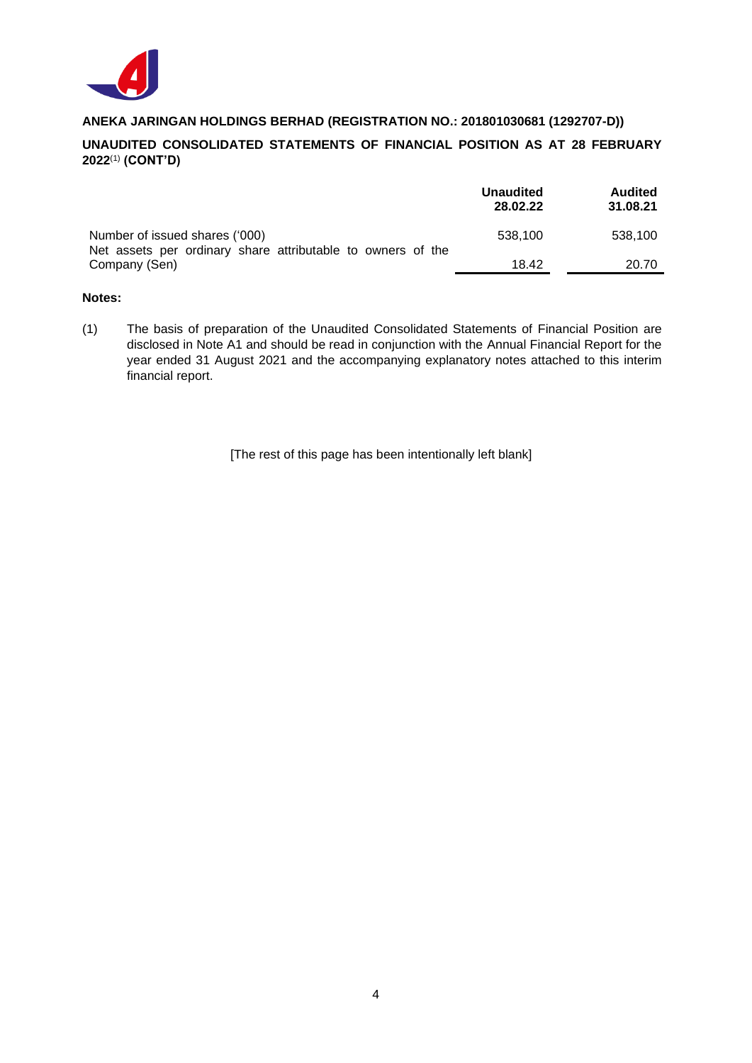

# **UNAUDITED CONSOLIDATED STATEMENTS OF FINANCIAL POSITION AS AT 28 FEBRUARY 2022**(1) **(CONT'D)**

|                                                                                               | <b>Unaudited</b><br>28.02.22 | <b>Audited</b><br>31.08.21 |
|-----------------------------------------------------------------------------------------------|------------------------------|----------------------------|
| Number of issued shares ('000)<br>Net assets per ordinary share attributable to owners of the | 538.100                      | 538.100                    |
| Company (Sen)                                                                                 | 18.42                        | 20.70                      |

#### **Notes:**

(1) The basis of preparation of the Unaudited Consolidated Statements of Financial Position are disclosed in Note A1 and should be read in conjunction with the Annual Financial Report for the year ended 31 August 2021 and the accompanying explanatory notes attached to this interim financial report.

[The rest of this page has been intentionally left blank]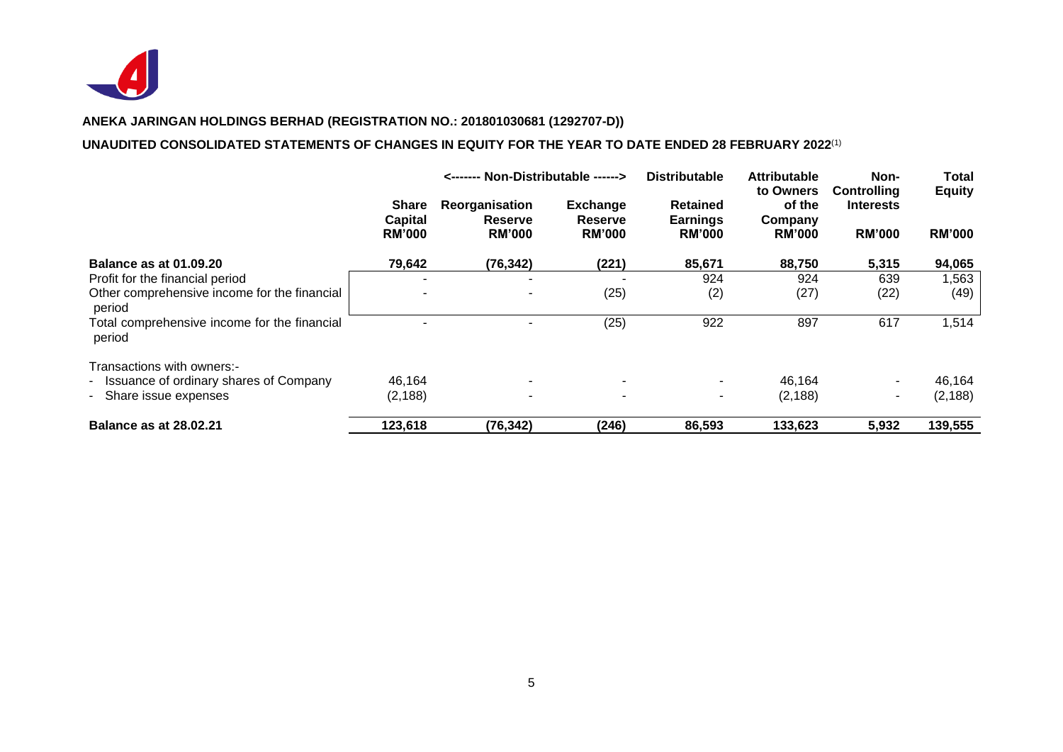

# **UNAUDITED CONSOLIDATED STATEMENTS OF CHANGES IN EQUITY FOR THE YEAR TO DATE ENDED 28 FEBRUARY 2022**(1)

|                                                                    |                                                 | <------- Non-Distributable ------>         |                                             | <b>Distributable</b>                                | <b>Attributable</b><br>to Owners   | Non-<br><b>Controlling</b>        | <b>Total</b><br><b>Equity</b> |
|--------------------------------------------------------------------|-------------------------------------------------|--------------------------------------------|---------------------------------------------|-----------------------------------------------------|------------------------------------|-----------------------------------|-------------------------------|
|                                                                    | <b>Share</b><br><b>Capital</b><br><b>RM'000</b> | Reorganisation<br>Reserve<br><b>RM'000</b> | <b>Exchange</b><br>Reserve<br><b>RM'000</b> | <b>Retained</b><br><b>Earnings</b><br><b>RM'000</b> | of the<br>Company<br><b>RM'000</b> | <b>Interests</b><br><b>RM'000</b> | <b>RM'000</b>                 |
| <b>Balance as at 01.09.20</b>                                      | 79,642                                          | (76, 342)                                  | (221)                                       | 85,671                                              | 88,750                             | 5,315                             | 94,065                        |
| Profit for the financial period                                    | -                                               |                                            |                                             | 924                                                 | 924                                | 639                               | 1,563                         |
| Other comprehensive income for the financial<br>period             |                                                 |                                            | (25)                                        | (2)                                                 | (27)                               | (22)                              | (49)                          |
| Total comprehensive income for the financial<br>period             |                                                 |                                            | (25)                                        | 922                                                 | 897                                | 617                               | 1,514                         |
| Transactions with owners:-                                         |                                                 |                                            |                                             |                                                     |                                    |                                   |                               |
| - Issuance of ordinary shares of Company<br>- Share issue expenses | 46,164<br>(2, 188)                              | $\overline{\phantom{0}}$                   | $\overline{\phantom{a}}$                    | ۰                                                   | 46,164<br>(2, 188)                 | ٠                                 | 46,164<br>(2, 188)            |
| <b>Balance as at 28.02.21</b>                                      | 123,618                                         | (76, 342)                                  | (246)                                       | 86,593                                              | 133,623                            | 5,932                             | 139,555                       |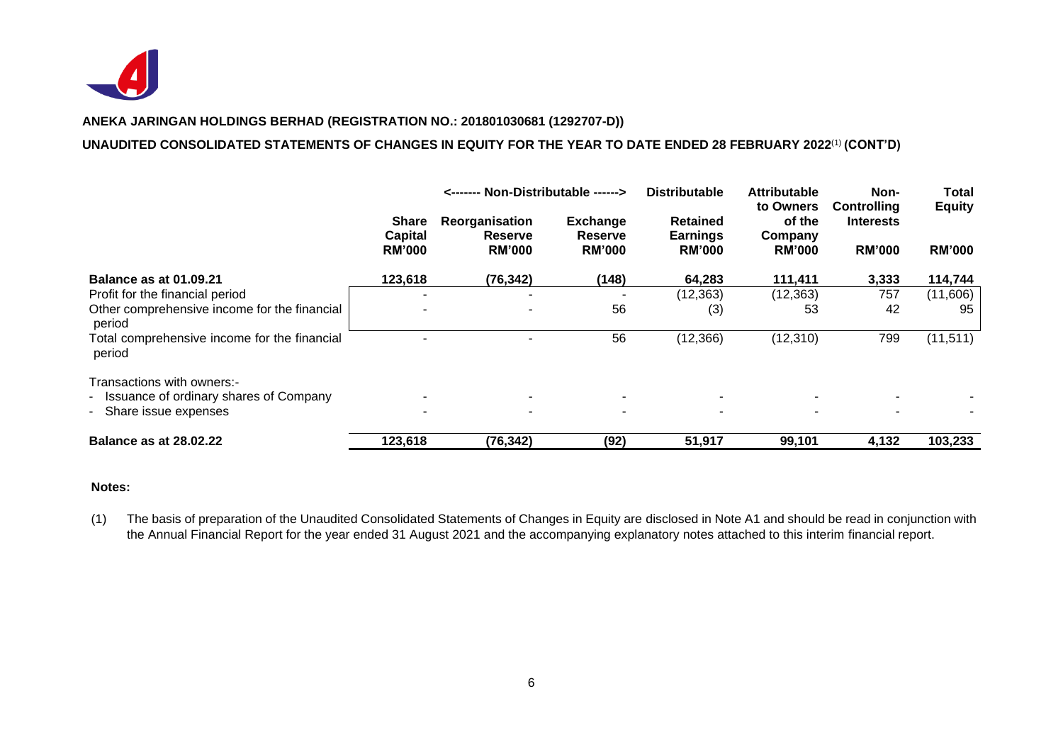

### **UNAUDITED CONSOLIDATED STATEMENTS OF CHANGES IN EQUITY FOR THE YEAR TO DATE ENDED 28 FEBRUARY 2022**(1) **(CONT'D)**

|                                                                                                                  |                                          | <------- Non-Distributable ------>                |                                                    | <b>Distributable</b>                                | <b>Attributable</b>                             | Non-                                                    | <b>Total</b>                   |
|------------------------------------------------------------------------------------------------------------------|------------------------------------------|---------------------------------------------------|----------------------------------------------------|-----------------------------------------------------|-------------------------------------------------|---------------------------------------------------------|--------------------------------|
|                                                                                                                  | <b>Share</b><br>Capital<br><b>RM'000</b> | Reorganisation<br><b>Reserve</b><br><b>RM'000</b> | <b>Exchange</b><br><b>Reserve</b><br><b>RM'000</b> | <b>Retained</b><br><b>Earnings</b><br><b>RM'000</b> | to Owners<br>of the<br>Company<br><b>RM'000</b> | <b>Controlling</b><br><b>Interests</b><br><b>RM'000</b> | <b>Equity</b><br><b>RM'000</b> |
| <b>Balance as at 01.09.21</b>                                                                                    | 123,618                                  | (76, 342)                                         | (148)                                              | 64,283                                              | 111,411                                         | 3,333                                                   | 114,744                        |
| Profit for the financial period                                                                                  |                                          |                                                   |                                                    | (12, 363)                                           | (12, 363)                                       | 757                                                     | (11,606)                       |
| Other comprehensive income for the financial<br>period<br>Total comprehensive income for the financial<br>period |                                          |                                                   | 56                                                 | (3)                                                 | 53                                              | 42                                                      | 95                             |
|                                                                                                                  |                                          |                                                   | 56                                                 | (12, 366)                                           | (12, 310)                                       | 799                                                     | (11, 511)                      |
| Transactions with owners:-<br>- Issuance of ordinary shares of Company                                           |                                          |                                                   |                                                    |                                                     |                                                 |                                                         |                                |
| - Share issue expenses                                                                                           |                                          |                                                   |                                                    |                                                     |                                                 |                                                         |                                |
| <b>Balance as at 28.02.22</b>                                                                                    | 123,618                                  | (76, 342)                                         | (92)                                               | 51,917                                              | 99,101                                          | 4,132                                                   | 103,233                        |

#### **Notes:**

(1) The basis of preparation of the Unaudited Consolidated Statements of Changes in Equity are disclosed in Note A1 and should be read in conjunction with the Annual Financial Report for the year ended 31 August 2021 and the accompanying explanatory notes attached to this interim financial report.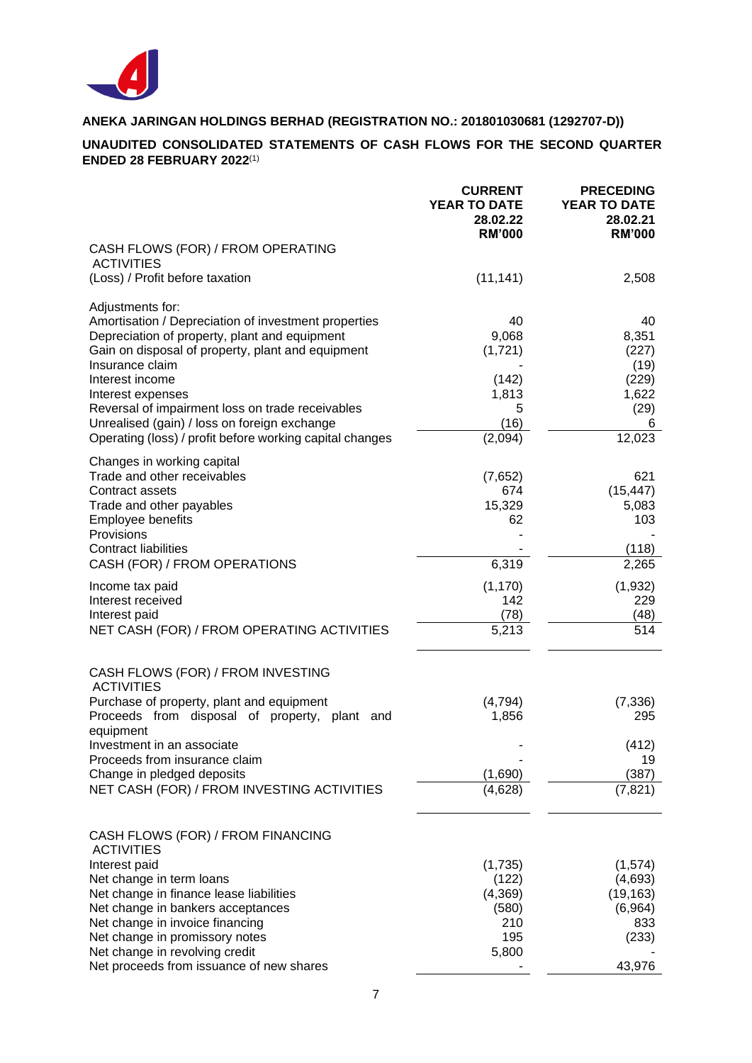

# **UNAUDITED CONSOLIDATED STATEMENTS OF CASH FLOWS FOR THE SECOND QUARTER ENDED 28 FEBRUARY 2022**(1)

|                                                                                                       | <b>CURRENT</b><br><b>YEAR TO DATE</b><br>28.02.22<br><b>RM'000</b> | <b>PRECEDING</b><br>YEAR TO DATE<br>28.02.21<br><b>RM'000</b> |
|-------------------------------------------------------------------------------------------------------|--------------------------------------------------------------------|---------------------------------------------------------------|
| CASH FLOWS (FOR) / FROM OPERATING<br><b>ACTIVITIES</b>                                                |                                                                    |                                                               |
| (Loss) / Profit before taxation                                                                       | (11, 141)                                                          | 2,508                                                         |
| Adjustments for:                                                                                      | 40                                                                 | 40                                                            |
| Amortisation / Depreciation of investment properties<br>Depreciation of property, plant and equipment | 9,068                                                              | 8,351                                                         |
| Gain on disposal of property, plant and equipment<br>Insurance claim                                  | (1,721)                                                            | (227)<br>(19)                                                 |
| Interest income                                                                                       | (142)                                                              | (229)                                                         |
| Interest expenses<br>Reversal of impairment loss on trade receivables                                 | 1,813<br>5                                                         | 1,622<br>(29)                                                 |
| Unrealised (gain) / loss on foreign exchange                                                          | (16)                                                               | 6                                                             |
| Operating (loss) / profit before working capital changes                                              | (2,094)                                                            | 12,023                                                        |
| Changes in working capital<br>Trade and other receivables                                             | (7,652)                                                            | 621                                                           |
| Contract assets                                                                                       | 674                                                                | (15, 447)                                                     |
| Trade and other payables<br>Employee benefits                                                         | 15,329<br>62                                                       | 5,083<br>103                                                  |
| Provisions                                                                                            |                                                                    |                                                               |
| <b>Contract liabilities</b><br>CASH (FOR) / FROM OPERATIONS                                           | 6,319                                                              | (118)<br>2,265                                                |
| Income tax paid                                                                                       | (1, 170)                                                           | (1,932)                                                       |
| Interest received                                                                                     | 142                                                                | 229                                                           |
| Interest paid<br>NET CASH (FOR) / FROM OPERATING ACTIVITIES                                           | (78)<br>5,213                                                      | (48)<br>514                                                   |
| CASH FLOWS (FOR) / FROM INVESTING                                                                     |                                                                    |                                                               |
| <b>ACTIVITIES</b><br>Purchase of property, plant and equipment                                        | (4, 794)                                                           | (7, 336)                                                      |
| Proceeds from disposal of property, plant and<br>equipment                                            | 1,856                                                              | 295                                                           |
| Investment in an associate                                                                            |                                                                    | (412)                                                         |
| Proceeds from insurance claim<br>Change in pledged deposits                                           | (1,690)                                                            | 19<br>(387)                                                   |
| NET CASH (FOR) / FROM INVESTING ACTIVITIES                                                            | (4,628)                                                            | (7, 821)                                                      |
| CASH FLOWS (FOR) / FROM FINANCING<br><b>ACTIVITIES</b>                                                |                                                                    |                                                               |
| Interest paid                                                                                         | (1,735)                                                            | (1,574)                                                       |
| Net change in term loans<br>Net change in finance lease liabilities                                   | (122)<br>(4,369)                                                   | (4,693)<br>(19, 163)                                          |
| Net change in bankers acceptances                                                                     | (580)                                                              | (6,964)                                                       |
| Net change in invoice financing<br>Net change in promissory notes                                     | 210<br>195                                                         | 833<br>(233)                                                  |
| Net change in revolving credit                                                                        | 5,800                                                              |                                                               |
| Net proceeds from issuance of new shares                                                              |                                                                    | 43,976                                                        |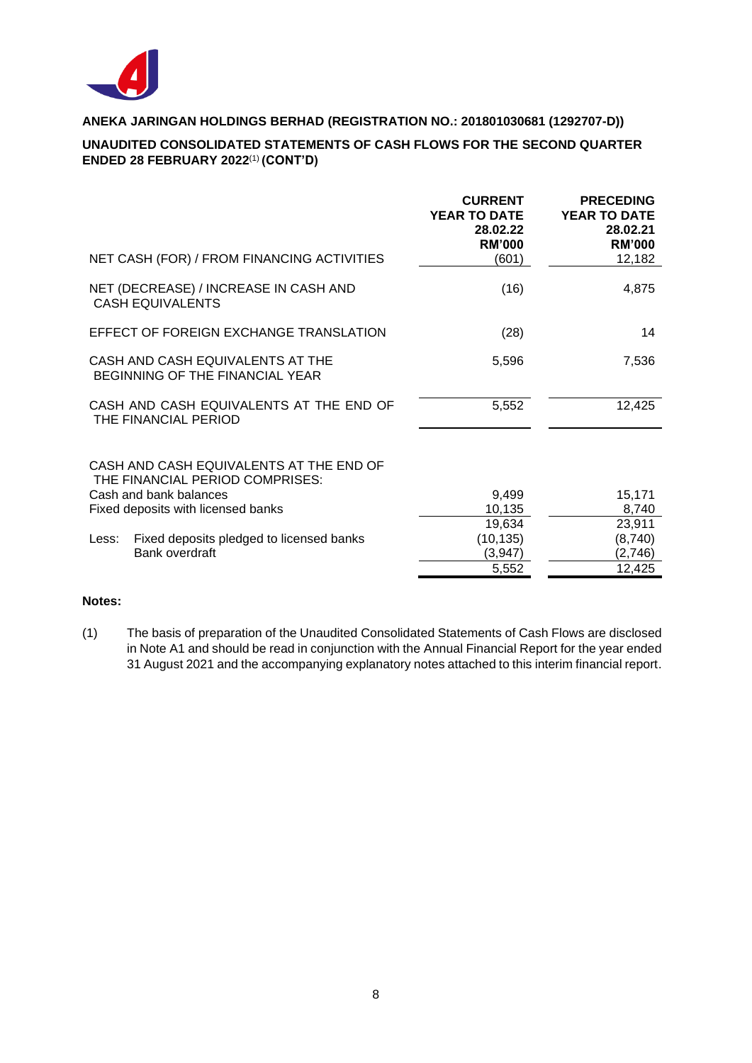

# **UNAUDITED CONSOLIDATED STATEMENTS OF CASH FLOWS FOR THE SECOND QUARTER ENDED 28 FEBRUARY 2022**(1) **(CONT'D)**

|                                                                                                      | <b>CURRENT</b><br><b>YEAR TO DATE</b><br>28.02.22<br><b>RM'000</b> | <b>PRECEDING</b><br><b>YEAR TO DATE</b><br>28.02.21<br><b>RM'000</b> |
|------------------------------------------------------------------------------------------------------|--------------------------------------------------------------------|----------------------------------------------------------------------|
| NET CASH (FOR) / FROM FINANCING ACTIVITIES                                                           | (601)                                                              | 12,182                                                               |
| NET (DECREASE) / INCREASE IN CASH AND<br><b>CASH EQUIVALENTS</b>                                     | (16)                                                               | 4,875                                                                |
| EFFECT OF FOREIGN EXCHANGE TRANSLATION                                                               | (28)                                                               | 14                                                                   |
| CASH AND CASH EQUIVALENTS AT THE<br>BEGINNING OF THE FINANCIAL YEAR                                  | 5,596                                                              | 7,536                                                                |
| CASH AND CASH EQUIVALENTS AT THE END OF<br>THE FINANCIAL PERIOD                                      | 5,552                                                              | 12,425                                                               |
| CASH AND CASH EQUIVALENTS AT THE END OF<br>THE FINANCIAL PERIOD COMPRISES:<br>Cash and bank balances | 9,499                                                              | 15,171                                                               |
| Fixed deposits with licensed banks                                                                   | 10,135<br>19,634                                                   | 8,740<br>23,911                                                      |
| Fixed deposits pledged to licensed banks<br>Less:                                                    | (10, 135)                                                          | (8,740)                                                              |
| Bank overdraft                                                                                       | (3,947)                                                            | (2,746)                                                              |
|                                                                                                      | 5,552                                                              | 12,425                                                               |

# **Notes:**

(1) The basis of preparation of the Unaudited Consolidated Statements of Cash Flows are disclosed in Note A1 and should be read in conjunction with the Annual Financial Report for the year ended 31 August 2021 and the accompanying explanatory notes attached to this interim financial report.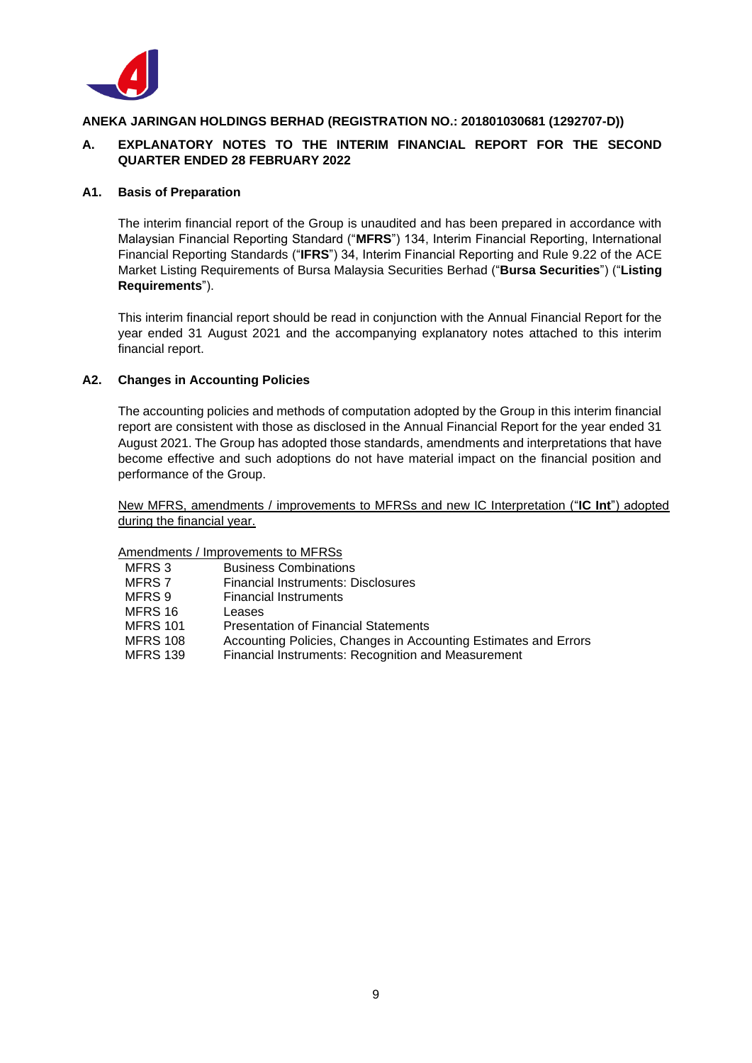

# **A. EXPLANATORY NOTES TO THE INTERIM FINANCIAL REPORT FOR THE SECOND QUARTER ENDED 28 FEBRUARY 2022**

### **A1. Basis of Preparation**

The interim financial report of the Group is unaudited and has been prepared in accordance with Malaysian Financial Reporting Standard ("**MFRS**") 134, Interim Financial Reporting, International Financial Reporting Standards ("**IFRS**") 34, Interim Financial Reporting and Rule 9.22 of the ACE Market Listing Requirements of Bursa Malaysia Securities Berhad ("**Bursa Securities**") ("**Listing Requirements**").

This interim financial report should be read in conjunction with the Annual Financial Report for the year ended 31 August 2021 and the accompanying explanatory notes attached to this interim financial report.

# **A2. Changes in Accounting Policies**

The accounting policies and methods of computation adopted by the Group in this interim financial report are consistent with those as disclosed in the Annual Financial Report for the year ended 31 August 2021. The Group has adopted those standards, amendments and interpretations that have become effective and such adoptions do not have material impact on the financial position and performance of the Group.

New MFRS, amendments / improvements to MFRSs and new IC Interpretation ("**IC Int**") adopted during the financial year.

#### Amendments / Improvements to MFRSs

| MFRS 3          | <b>Business Combinations</b>                                    |
|-----------------|-----------------------------------------------------------------|
| MFRS 7          | Financial Instruments: Disclosures                              |
| MFRS 9          | <b>Financial Instruments</b>                                    |
| MFRS 16         | Leases                                                          |
| <b>MFRS 101</b> | <b>Presentation of Financial Statements</b>                     |
| <b>MFRS 108</b> | Accounting Policies, Changes in Accounting Estimates and Errors |
| <b>MFRS 139</b> | Financial Instruments: Recognition and Measurement              |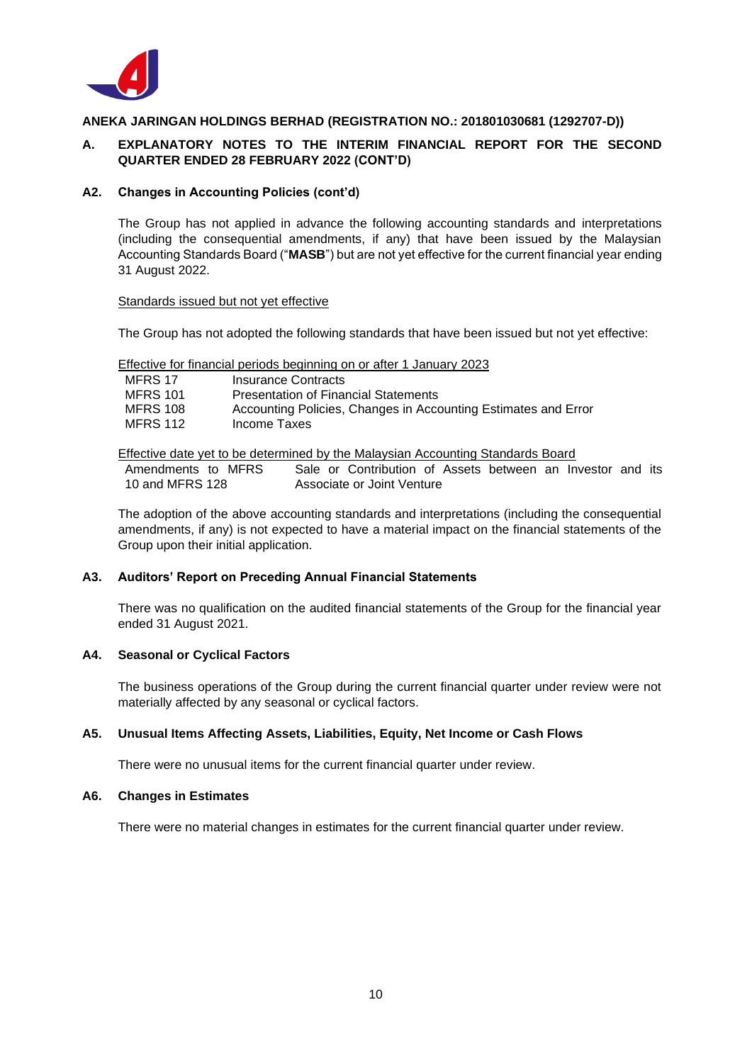

# **A. EXPLANATORY NOTES TO THE INTERIM FINANCIAL REPORT FOR THE SECOND QUARTER ENDED 28 FEBRUARY 2022 (CONT'D)**

### **A2. Changes in Accounting Policies (cont'd)**

The Group has not applied in advance the following accounting standards and interpretations (including the consequential amendments, if any) that have been issued by the Malaysian Accounting Standards Board ("**MASB**") but are not yet effective for the current financial year ending 31 August 2022.

#### Standards issued but not yet effective

The Group has not adopted the following standards that have been issued but not yet effective:

Effective for financial periods beginning on or after 1 January 2023

| MFRS 17         | Insurance Contracts                                            |
|-----------------|----------------------------------------------------------------|
| <b>MFRS 101</b> | <b>Presentation of Financial Statements</b>                    |
| <b>MFRS 108</b> | Accounting Policies, Changes in Accounting Estimates and Error |
| <b>MFRS 112</b> | Income Taxes                                                   |

Effective date yet to be determined by the Malaysian Accounting Standards Board

Amendments to MFRS 10 and MFRS 128 Sale or Contribution of Assets between an Investor and its Associate or Joint Venture

The adoption of the above accounting standards and interpretations (including the consequential amendments, if any) is not expected to have a material impact on the financial statements of the Group upon their initial application.

#### **A3. Auditors' Report on Preceding Annual Financial Statements**

There was no qualification on the audited financial statements of the Group for the financial year ended 31 August 2021.

# **A4. Seasonal or Cyclical Factors**

The business operations of the Group during the current financial quarter under review were not materially affected by any seasonal or cyclical factors.

# **A5. Unusual Items Affecting Assets, Liabilities, Equity, Net Income or Cash Flows**

There were no unusual items for the current financial quarter under review.

#### **A6. Changes in Estimates**

There were no material changes in estimates for the current financial quarter under review.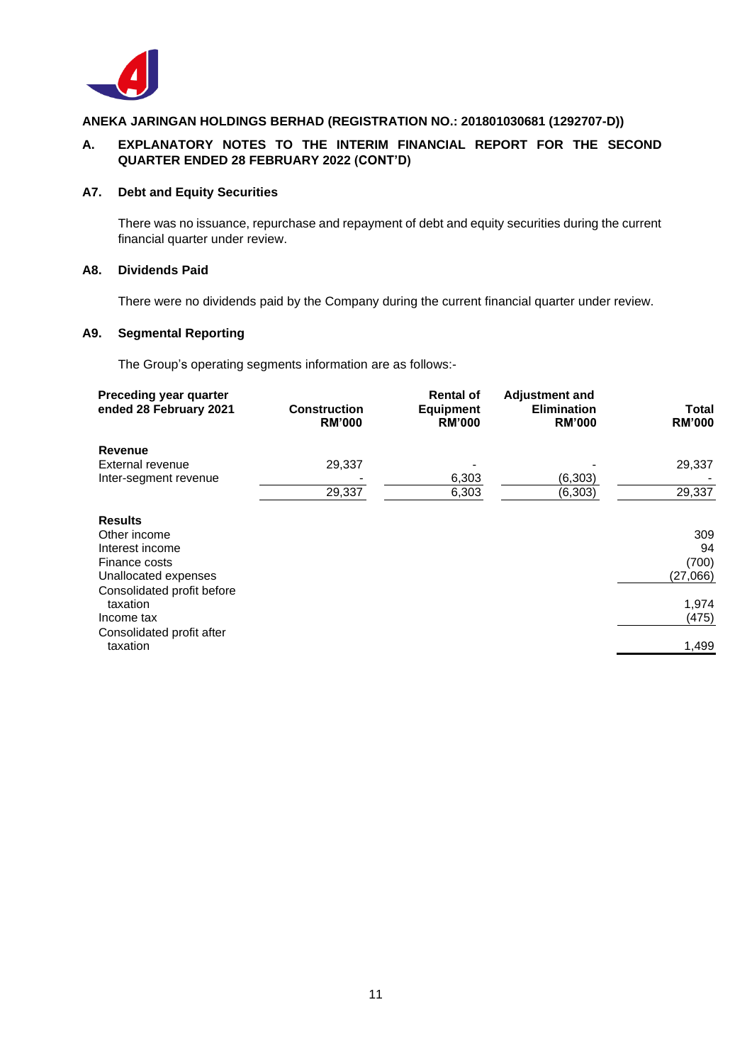

# **A. EXPLANATORY NOTES TO THE INTERIM FINANCIAL REPORT FOR THE SECOND QUARTER ENDED 28 FEBRUARY 2022 (CONT'D)**

### **A7. Debt and Equity Securities**

There was no issuance, repurchase and repayment of debt and equity securities during the current financial quarter under review.

### **A8. Dividends Paid**

There were no dividends paid by the Company during the current financial quarter under review.

# **A9. Segmental Reporting**

The Group's operating segments information are as follows:-

| Preceding year quarter<br>ended 28 February 2021 | <b>Construction</b><br><b>RM'000</b> | <b>Rental of</b><br><b>Equipment</b><br><b>RM'000</b> | <b>Adjustment and</b><br><b>Elimination</b><br><b>RM'000</b> | Total<br><b>RM'000</b> |
|--------------------------------------------------|--------------------------------------|-------------------------------------------------------|--------------------------------------------------------------|------------------------|
| Revenue                                          |                                      |                                                       |                                                              |                        |
| External revenue                                 | 29,337                               |                                                       |                                                              | 29,337                 |
| Inter-segment revenue                            |                                      | 6,303                                                 | (6,303)                                                      |                        |
|                                                  | 29,337                               | 6,303                                                 | (6, 303)                                                     | 29,337                 |
| <b>Results</b>                                   |                                      |                                                       |                                                              |                        |
| Other income                                     |                                      |                                                       |                                                              | 309                    |
| Interest income                                  |                                      |                                                       |                                                              | 94                     |
| Finance costs                                    |                                      |                                                       |                                                              | (700)                  |
| Unallocated expenses                             |                                      |                                                       |                                                              | (27,066)               |
| Consolidated profit before                       |                                      |                                                       |                                                              |                        |
| taxation                                         |                                      |                                                       |                                                              | 1,974                  |
| Income tax                                       |                                      |                                                       |                                                              | (475)                  |
| Consolidated profit after<br>taxation            |                                      |                                                       |                                                              | 1,499                  |
|                                                  |                                      |                                                       |                                                              |                        |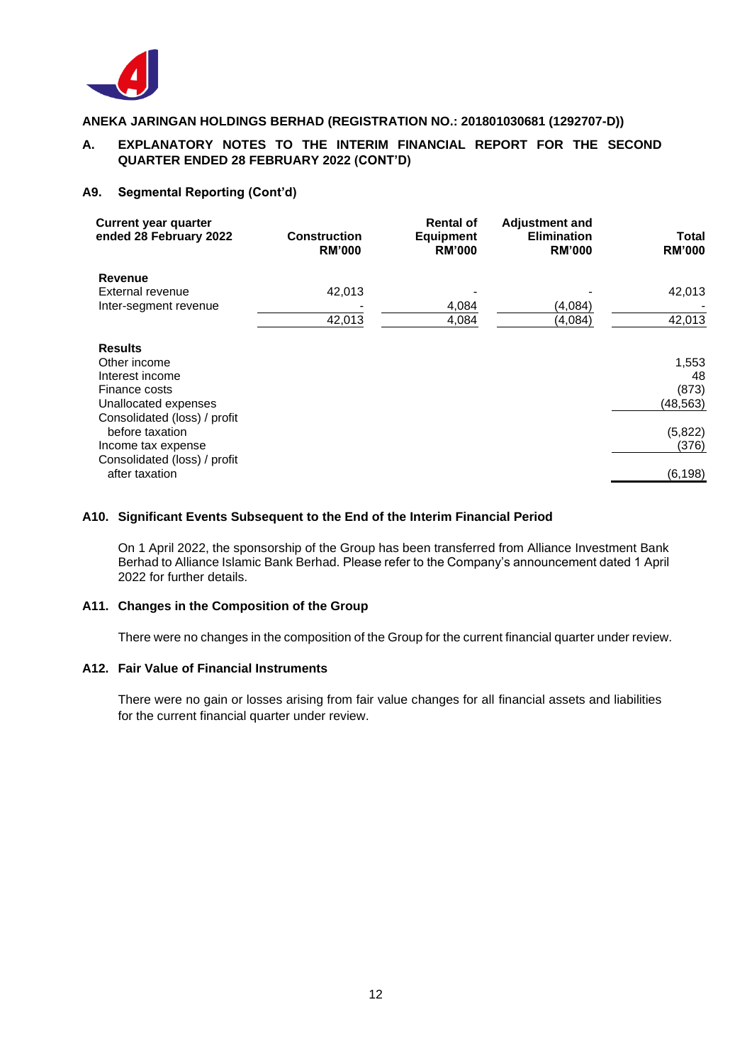

# **A. EXPLANATORY NOTES TO THE INTERIM FINANCIAL REPORT FOR THE SECOND QUARTER ENDED 28 FEBRUARY 2022 (CONT'D)**

### **A9. Segmental Reporting (Cont'd)**

| <b>Current year quarter</b><br>ended 28 February 2022 | <b>Construction</b><br><b>RM'000</b> | <b>Rental of</b><br><b>Equipment</b><br><b>RM'000</b> | <b>Adjustment and</b><br><b>Elimination</b><br><b>RM'000</b> | <b>Total</b><br><b>RM'000</b> |
|-------------------------------------------------------|--------------------------------------|-------------------------------------------------------|--------------------------------------------------------------|-------------------------------|
| <b>Revenue</b>                                        |                                      |                                                       |                                                              |                               |
| External revenue                                      | 42,013                               |                                                       |                                                              | 42,013                        |
| Inter-segment revenue                                 |                                      | 4,084                                                 | (4,084)                                                      |                               |
|                                                       | 42,013                               | 4,084                                                 | (4,084)                                                      | 42,013                        |
| <b>Results</b>                                        |                                      |                                                       |                                                              |                               |
| Other income                                          |                                      |                                                       |                                                              | 1,553                         |
| Interest income                                       |                                      |                                                       |                                                              | 48                            |
| Finance costs                                         |                                      |                                                       |                                                              | (873)                         |
| Unallocated expenses                                  |                                      |                                                       |                                                              | (48, 563)                     |
| Consolidated (loss) / profit                          |                                      |                                                       |                                                              |                               |
| before taxation                                       |                                      |                                                       |                                                              | (5,822)                       |
| Income tax expense                                    |                                      |                                                       |                                                              | (376)                         |
| Consolidated (loss) / profit                          |                                      |                                                       |                                                              |                               |
| after taxation                                        |                                      |                                                       |                                                              | (6, 198)                      |
|                                                       |                                      |                                                       |                                                              |                               |

### **A10. Significant Events Subsequent to the End of the Interim Financial Period**

On 1 April 2022, the sponsorship of the Group has been transferred from Alliance Investment Bank Berhad to Alliance Islamic Bank Berhad. Please refer to the Company's announcement dated 1 April 2022 for further details.

# **A11. Changes in the Composition of the Group**

There were no changes in the composition of the Group for the current financial quarter under review.

### **A12. Fair Value of Financial Instruments**

There were no gain or losses arising from fair value changes for all financial assets and liabilities for the current financial quarter under review.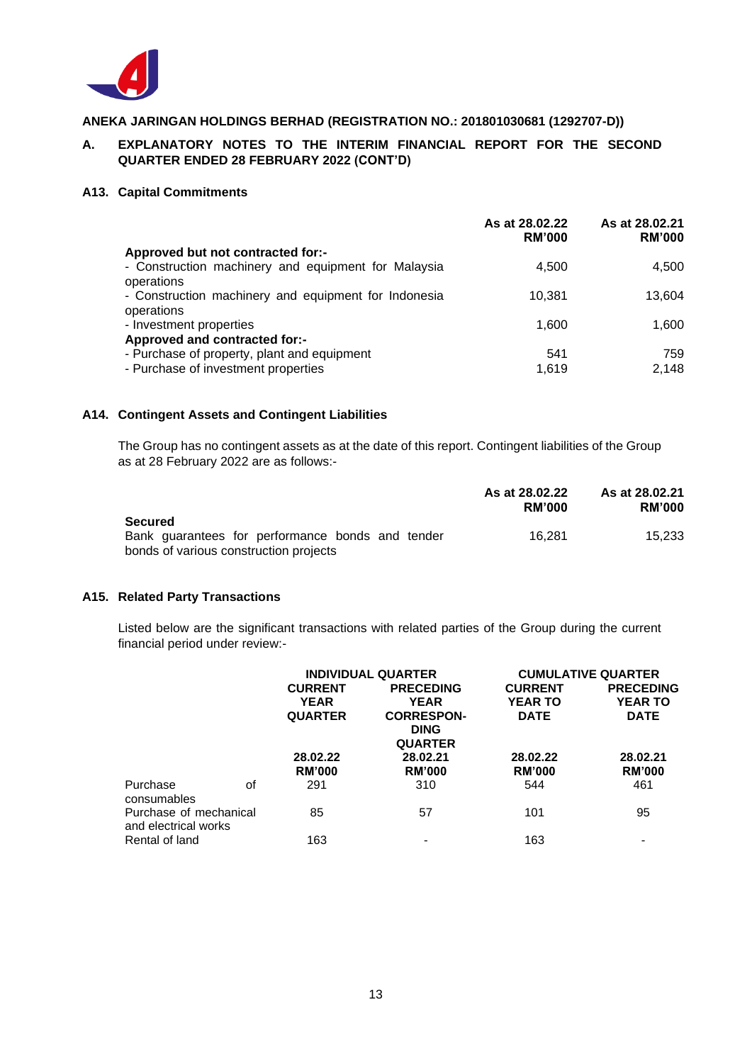

# **A. EXPLANATORY NOTES TO THE INTERIM FINANCIAL REPORT FOR THE SECOND QUARTER ENDED 28 FEBRUARY 2022 (CONT'D)**

#### **A13. Capital Commitments**

|                                                                    | As at 28,02.22<br><b>RM'000</b> | As at 28.02.21<br><b>RM'000</b> |
|--------------------------------------------------------------------|---------------------------------|---------------------------------|
| Approved but not contracted for:-                                  |                                 |                                 |
| - Construction machinery and equipment for Malaysia<br>operations  | 4,500                           | 4.500                           |
| - Construction machinery and equipment for Indonesia<br>operations | 10.381                          | 13.604                          |
| - Investment properties                                            | 1,600                           | 1,600                           |
| Approved and contracted for:-                                      |                                 |                                 |
| - Purchase of property, plant and equipment                        | 541                             | 759                             |
| - Purchase of investment properties                                | 1.619                           | 2,148                           |

### **A14. Contingent Assets and Contingent Liabilities**

The Group has no contingent assets as at the date of this report. Contingent liabilities of the Group as at 28 February 2022 are as follows:-

|                                                  | As at 28.02.22<br><b>RM'000</b> | As at 28.02.21<br><b>RM'000</b> |
|--------------------------------------------------|---------------------------------|---------------------------------|
| Secured                                          |                                 |                                 |
| Bank guarantees for performance bonds and tender | 16.281                          | 15.233                          |
| bonds of various construction projects           |                                 |                                 |

### **A15. Related Party Transactions**

Listed below are the significant transactions with related parties of the Group during the current financial period under review:-

|                                                |    |                | <b>INDIVIDUAL QUARTER</b>                          | <b>CUMULATIVE QUARTER</b> |                  |  |
|------------------------------------------------|----|----------------|----------------------------------------------------|---------------------------|------------------|--|
|                                                |    | <b>CURRENT</b> | <b>PRECEDING</b>                                   | <b>CURRENT</b>            | <b>PRECEDING</b> |  |
|                                                |    | <b>YEAR</b>    | <b>YEAR</b>                                        | <b>YEAR TO</b>            | <b>YEAR TO</b>   |  |
|                                                |    | <b>QUARTER</b> | <b>CORRESPON-</b><br><b>DING</b><br><b>QUARTER</b> | <b>DATE</b>               | <b>DATE</b>      |  |
|                                                |    | 28.02.22       | 28.02.21                                           | 28.02.22                  | 28.02.21         |  |
|                                                |    | <b>RM'000</b>  | <b>RM'000</b>                                      | <b>RM'000</b>             | <b>RM'000</b>    |  |
| Purchase<br>consumables                        | Ωf | 291            | 310                                                | 544                       | 461              |  |
| Purchase of mechanical<br>and electrical works |    | 85             | 57                                                 | 101                       | 95               |  |
| Rental of land                                 |    | 163            |                                                    | 163                       |                  |  |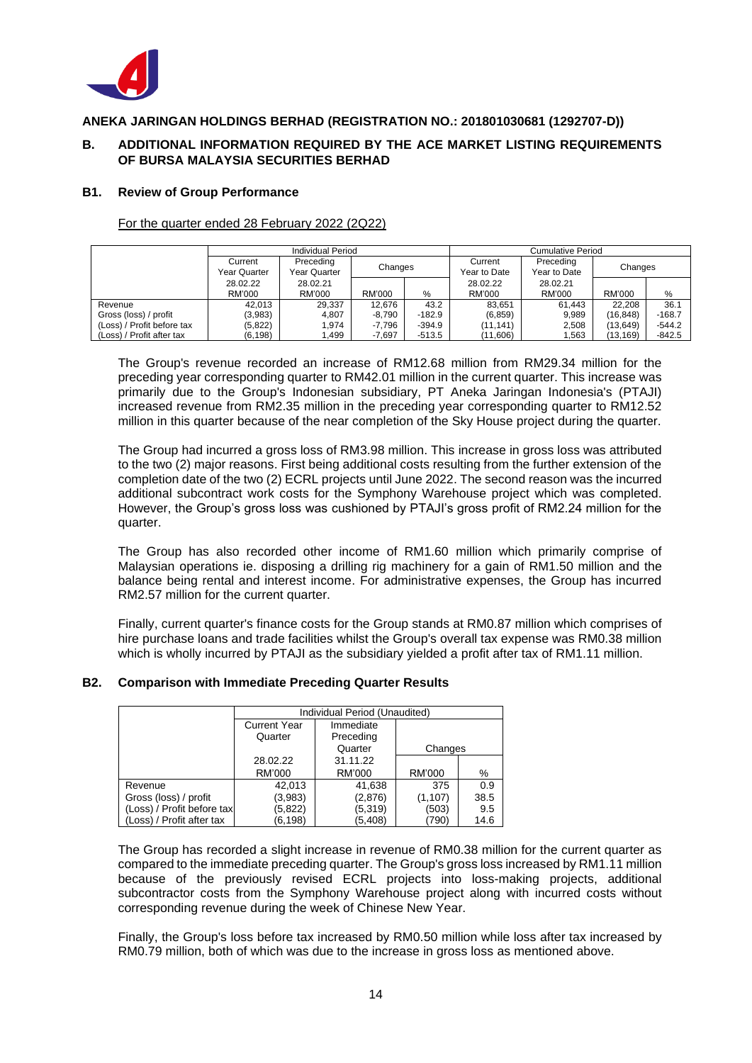

# **B. ADDITIONAL INFORMATION REQUIRED BY THE ACE MARKET LISTING REQUIREMENTS OF BURSA MALAYSIA SECURITIES BERHAD**

#### **B1. Review of Group Performance**

For the quarter ended 28 February 2022 (2Q22)

|                            | Individual Period |              |          |          | Cumulative Period |              |           |          |
|----------------------------|-------------------|--------------|----------|----------|-------------------|--------------|-----------|----------|
|                            | Current           | Preceding    |          |          | Current           | Preceding    | Changes   |          |
|                            | Year Quarter      | Year Quarter | Changes  |          | Year to Date      | Year to Date |           |          |
|                            | 28.02.22          | 28.02.21     |          |          | 28.02.22          | 28.02.21     |           |          |
|                            | RM'000            | RM'000       | RM'000   | $\%$     | RM'000            | RM'000       | RM'000    | %        |
| Revenue                    | 42.013            | 29,337       | 12.676   | 43.2     | 83.651            | 61,443       | 22.208    | 36.1     |
| Gross (loss) / profit      | (3,983)           | 4.807        | $-8.790$ | $-182.9$ | (6, 859)          | 9,989        | (16, 848) | $-168.7$ |
| (Loss) / Profit before tax | (5,822)           | 1.974        | $-7.796$ | $-394.9$ | (11, 141)         | 2,508        | (13,649)  | $-544.2$ |
| (Loss) / Profit after tax  | (6, 198)          | 1,499        | $-7.697$ | $-513.5$ | (11,606)          | 1,563        | (13, 169) | $-842.5$ |

The Group's revenue recorded an increase of RM12.68 million from RM29.34 million for the preceding year corresponding quarter to RM42.01 million in the current quarter. This increase was primarily due to the Group's Indonesian subsidiary, PT Aneka Jaringan Indonesia's (PTAJI) increased revenue from RM2.35 million in the preceding year corresponding quarter to RM12.52 million in this quarter because of the near completion of the Sky House project during the quarter.

The Group had incurred a gross loss of RM3.98 million. This increase in gross loss was attributed to the two (2) major reasons. First being additional costs resulting from the further extension of the completion date of the two (2) ECRL projects until June 2022. The second reason was the incurred additional subcontract work costs for the Symphony Warehouse project which was completed. However, the Group's gross loss was cushioned by PTAJI's gross profit of RM2.24 million for the quarter.

The Group has also recorded other income of RM1.60 million which primarily comprise of Malaysian operations ie. disposing a drilling rig machinery for a gain of RM1.50 million and the balance being rental and interest income. For administrative expenses, the Group has incurred RM2.57 million for the current quarter.

Finally, current quarter's finance costs for the Group stands at RM0.87 million which comprises of hire purchase loans and trade facilities whilst the Group's overall tax expense was RM0.38 million which is wholly incurred by PTAJI as the subsidiary yielded a profit after tax of RM1.11 million.

#### **B2. Comparison with Immediate Preceding Quarter Results**

|                            | Individual Period (Unaudited) |           |          |      |  |
|----------------------------|-------------------------------|-----------|----------|------|--|
|                            | <b>Current Year</b>           | Immediate |          |      |  |
|                            | Quarter                       |           |          |      |  |
|                            |                               | Changes   |          |      |  |
|                            | 28.02.22                      | 31.11.22  |          |      |  |
|                            | RM'000                        | RM'000    | RM'000   | %    |  |
| Revenue                    | 42,013                        | 41,638    | 375      | 0.9  |  |
| Gross (loss) / profit      | (3,983)                       | (2,876)   | (1, 107) | 38.5 |  |
| (Loss) / Profit before tax | (5,822)                       | (5,319)   | (503)    | 9.5  |  |
| (Loss) / Profit after tax  | (6.198)                       | (5,408)   | (790)    | 14.6 |  |

The Group has recorded a slight increase in revenue of RM0.38 million for the current quarter as compared to the immediate preceding quarter. The Group's gross loss increased by RM1.11 million because of the previously revised ECRL projects into loss-making projects, additional subcontractor costs from the Symphony Warehouse project along with incurred costs without corresponding revenue during the week of Chinese New Year.

Finally, the Group's loss before tax increased by RM0.50 million while loss after tax increased by RM0.79 million, both of which was due to the increase in gross loss as mentioned above.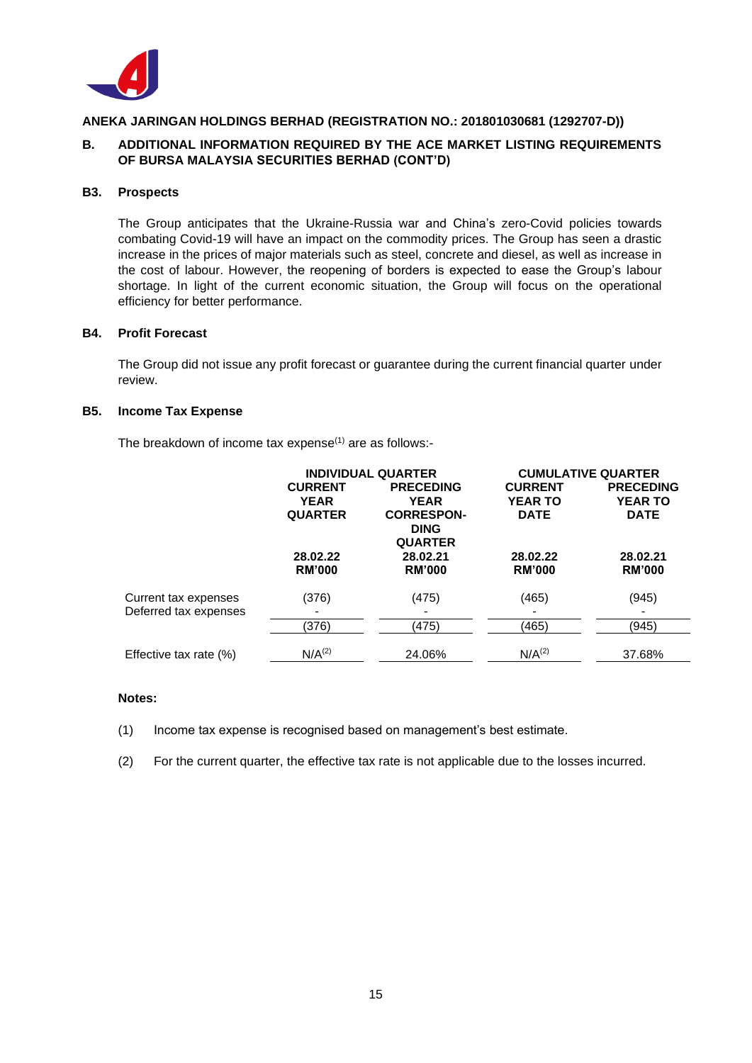

# **B. ADDITIONAL INFORMATION REQUIRED BY THE ACE MARKET LISTING REQUIREMENTS OF BURSA MALAYSIA SECURITIES BERHAD (CONT'D)**

### **B3. Prospects**

The Group anticipates that the Ukraine-Russia war and China's zero-Covid policies towards combating Covid-19 will have an impact on the commodity prices. The Group has seen a drastic increase in the prices of major materials such as steel, concrete and diesel, as well as increase in the cost of labour. However, the reopening of borders is expected to ease the Group's labour shortage. In light of the current economic situation, the Group will focus on the operational efficiency for better performance.

### **B4. Profit Forecast**

The Group did not issue any profit forecast or guarantee during the current financial quarter under review.

### **B5. Income Tax Expense**

The breakdown of income tax expense $(1)$  are as follows:-

|                        | <b>INDIVIDUAL QUARTER</b> |                               | <b>CUMULATIVE QUARTER</b> |                  |  |
|------------------------|---------------------------|-------------------------------|---------------------------|------------------|--|
|                        | <b>CURRENT</b>            | <b>PRECEDING</b>              | <b>CURRENT</b>            | <b>PRECEDING</b> |  |
|                        | <b>YEAR</b>               | <b>YEAR</b>                   | <b>YEAR TO</b>            | <b>YEAR TO</b>   |  |
|                        | <b>QUARTER</b>            | <b>CORRESPON-</b>             | <b>DATE</b>               | <b>DATE</b>      |  |
|                        |                           | <b>DING</b><br><b>QUARTER</b> |                           |                  |  |
|                        | 28.02.22                  | 28.02.21                      | 28.02.22                  | 28.02.21         |  |
|                        | <b>RM'000</b>             | <b>RM'000</b>                 | <b>RM'000</b>             | <b>RM'000</b>    |  |
|                        |                           |                               |                           |                  |  |
| Current tax expenses   | (376)                     | (475)                         | (465)                     | (945)            |  |
| Deferred tax expenses  |                           |                               |                           |                  |  |
|                        | (376)                     | (475)                         | (465)                     | (945)            |  |
|                        | N/A <sup>(2)</sup>        | 24.06%                        | N/A <sup>(2)</sup>        | 37.68%           |  |
| Effective tax rate (%) |                           |                               |                           |                  |  |

#### **Notes:**

- (1) Income tax expense is recognised based on management's best estimate.
- (2) For the current quarter, the effective tax rate is not applicable due to the losses incurred.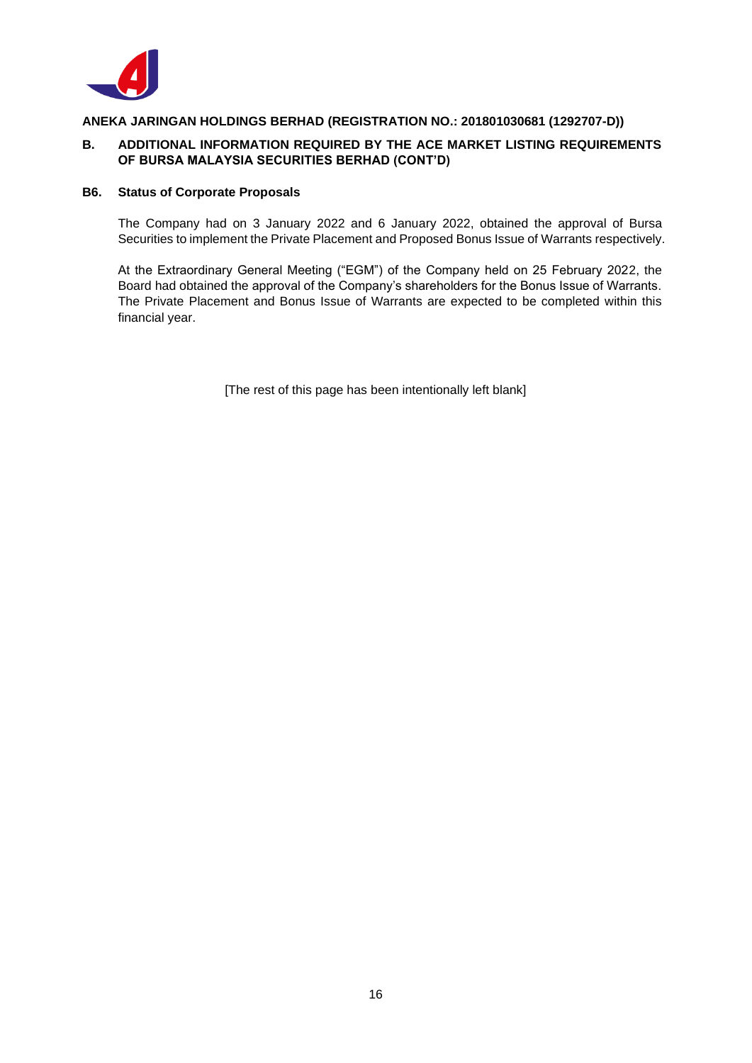

# **B. ADDITIONAL INFORMATION REQUIRED BY THE ACE MARKET LISTING REQUIREMENTS OF BURSA MALAYSIA SECURITIES BERHAD (CONT'D)**

# **B6. Status of Corporate Proposals**

The Company had on 3 January 2022 and 6 January 2022, obtained the approval of Bursa Securities to implement the Private Placement and Proposed Bonus Issue of Warrants respectively.

At the Extraordinary General Meeting ("EGM") of the Company held on 25 February 2022, the Board had obtained the approval of the Company's shareholders for the Bonus Issue of Warrants. The Private Placement and Bonus Issue of Warrants are expected to be completed within this financial year.

[The rest of this page has been intentionally left blank]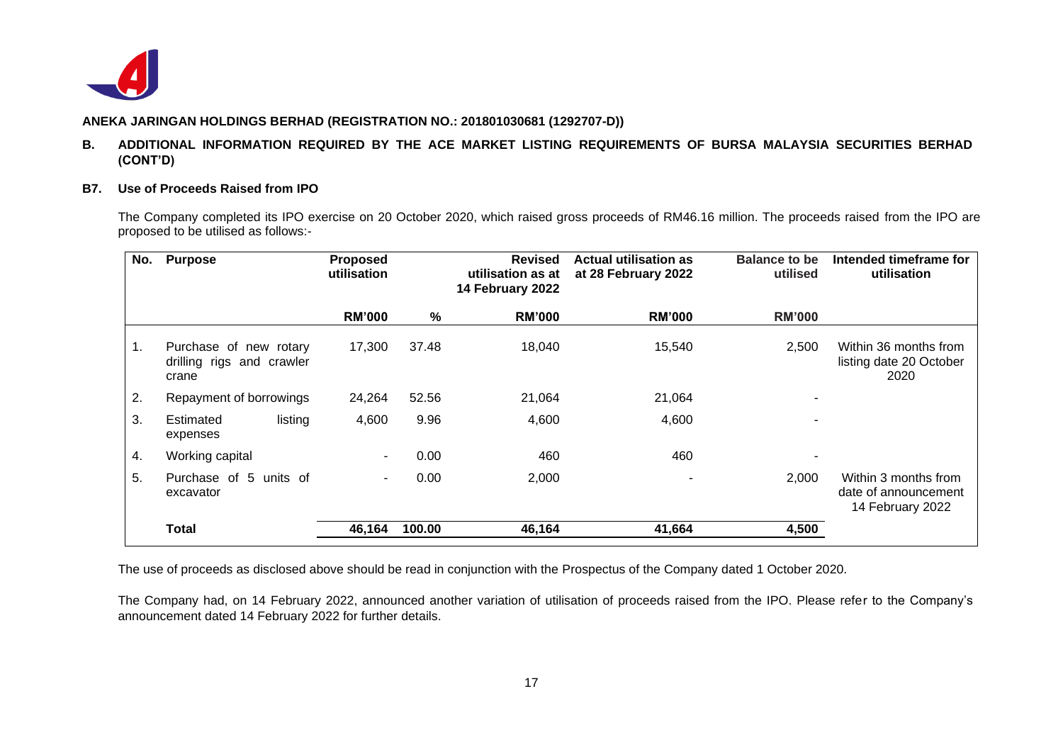

### **B. ADDITIONAL INFORMATION REQUIRED BY THE ACE MARKET LISTING REQUIREMENTS OF BURSA MALAYSIA SECURITIES BERHAD (CONT'D)**

#### **B7. Use of Proceeds Raised from IPO**

The Company completed its IPO exercise on 20 October 2020, which raised gross proceeds of RM46.16 million. The proceeds raised from the IPO are proposed to be utilised as follows:-

| No. | <b>Purpose</b>                                               | <b>Proposed</b><br>utilisation |        | <b>Revised</b><br>utilisation as at<br>14 February 2022 | <b>Actual utilisation as</b><br>at 28 February 2022 | Balance to be<br>utilised | Intended timeframe for<br>utilisation                            |
|-----|--------------------------------------------------------------|--------------------------------|--------|---------------------------------------------------------|-----------------------------------------------------|---------------------------|------------------------------------------------------------------|
|     |                                                              | <b>RM'000</b>                  | %      | <b>RM'000</b>                                           | <b>RM'000</b>                                       | <b>RM'000</b>             |                                                                  |
| 1.  | Purchase of new rotary<br>drilling rigs and crawler<br>crane | 17,300                         | 37.48  | 18,040                                                  | 15,540                                              | 2,500                     | Within 36 months from<br>listing date 20 October<br>2020         |
| 2.  | Repayment of borrowings                                      | 24,264                         | 52.56  | 21,064                                                  | 21,064                                              |                           |                                                                  |
| 3.  | listing<br>Estimated<br>expenses                             | 4,600                          | 9.96   | 4,600                                                   | 4,600                                               |                           |                                                                  |
| 4.  | Working capital                                              | ۰.                             | 0.00   | 460                                                     | 460                                                 |                           |                                                                  |
| 5.  | Purchase of 5 units of<br>excavator                          | $\sim$                         | 0.00   | 2,000                                                   |                                                     | 2,000                     | Within 3 months from<br>date of announcement<br>14 February 2022 |
|     | <b>Total</b>                                                 | 46,164                         | 100.00 | 46,164                                                  | 41,664                                              | 4,500                     |                                                                  |

The use of proceeds as disclosed above should be read in conjunction with the Prospectus of the Company dated 1 October 2020.

The Company had, on 14 February 2022, announced another variation of utilisation of proceeds raised from the IPO. Please refer to the Company's announcement dated 14 February 2022 for further details.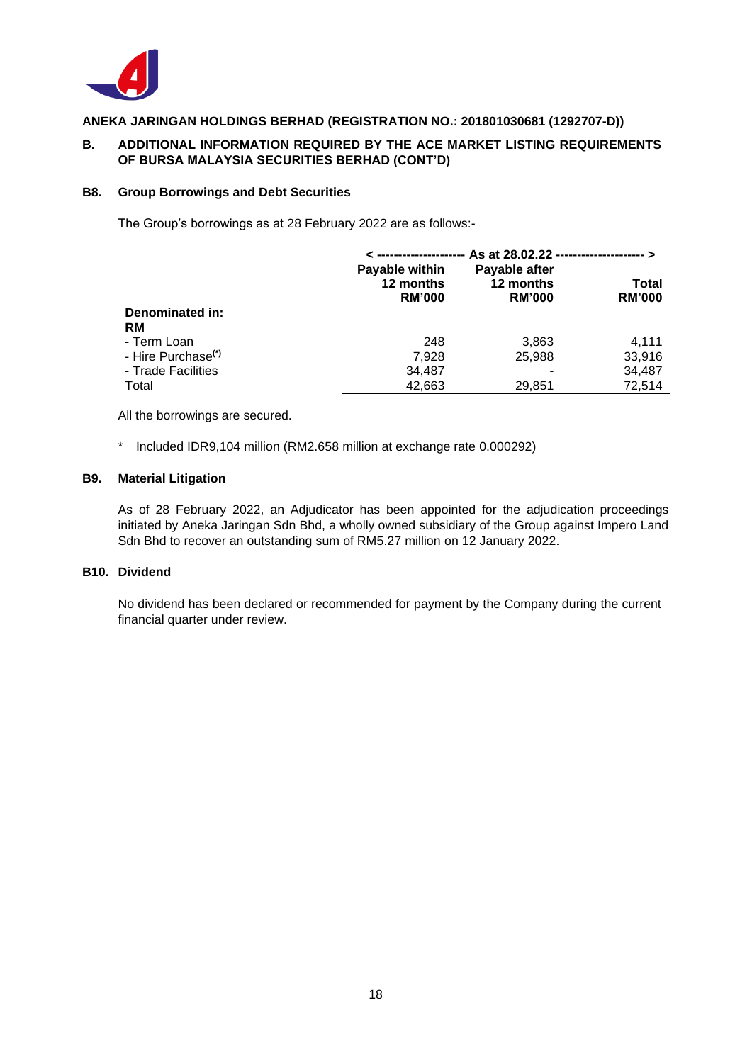

# **B. ADDITIONAL INFORMATION REQUIRED BY THE ACE MARKET LISTING REQUIREMENTS OF BURSA MALAYSIA SECURITIES BERHAD (CONT'D)**

#### **B8. Group Borrowings and Debt Securities**

The Group's borrowings as at 28 February 2022 are as follows:-

|                                | As at 28.02.22 ---------------------- >      |                                             |                        |  |
|--------------------------------|----------------------------------------------|---------------------------------------------|------------------------|--|
|                                | Payable within<br>12 months<br><b>RM'000</b> | Payable after<br>12 months<br><b>RM'000</b> | Total<br><b>RM'000</b> |  |
| Denominated in:                |                                              |                                             |                        |  |
| <b>RM</b>                      |                                              |                                             |                        |  |
| - Term Loan                    | 248                                          | 3,863                                       | 4,111                  |  |
| - Hire Purchase <sup>(*)</sup> | 7,928                                        | 25.988                                      | 33,916                 |  |
| - Trade Facilities             | 34,487                                       |                                             | 34,487                 |  |
| Total                          | 42,663                                       | 29,851                                      | 72,514                 |  |

All the borrowings are secured.

\* Included IDR9,104 million (RM2.658 million at exchange rate 0.000292)

#### **B9. Material Litigation**

As of 28 February 2022, an Adjudicator has been appointed for the adjudication proceedings initiated by Aneka Jaringan Sdn Bhd, a wholly owned subsidiary of the Group against Impero Land Sdn Bhd to recover an outstanding sum of RM5.27 million on 12 January 2022.

#### **B10. Dividend**

No dividend has been declared or recommended for payment by the Company during the current financial quarter under review.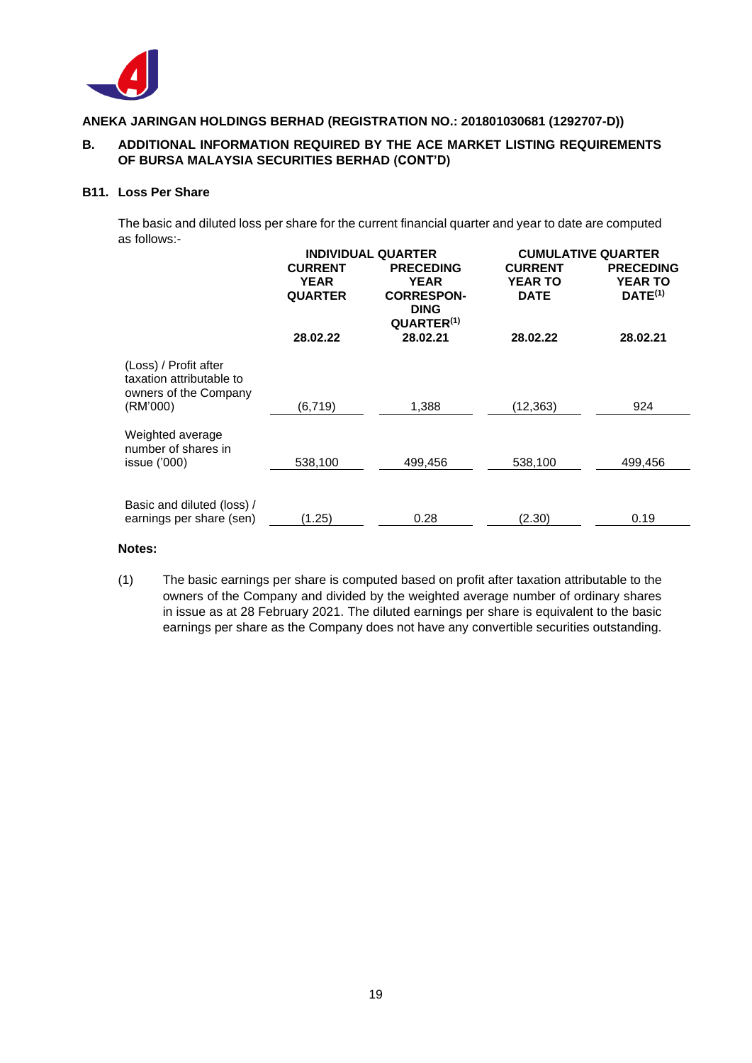

# **B. ADDITIONAL INFORMATION REQUIRED BY THE ACE MARKET LISTING REQUIREMENTS OF BURSA MALAYSIA SECURITIES BERHAD (CONT'D)**

### **B11. Loss Per Share**

The basic and diluted loss per share for the current financial quarter and year to date are computed as follows:-

|                                                                                        |                                                 | <b>INDIVIDUAL QUARTER</b>                                                                     | <b>CUMULATIVE QUARTER</b>                |                                                    |  |
|----------------------------------------------------------------------------------------|-------------------------------------------------|-----------------------------------------------------------------------------------------------|------------------------------------------|----------------------------------------------------|--|
|                                                                                        | <b>CURRENT</b><br><b>YEAR</b><br><b>QUARTER</b> | <b>PRECEDING</b><br><b>YEAR</b><br><b>CORRESPON-</b><br><b>DING</b><br>QUARTER <sup>(1)</sup> | <b>CURRENT</b><br>YEAR TO<br><b>DATE</b> | <b>PRECEDING</b><br><b>YEAR TO</b><br>$DATE^{(1)}$ |  |
|                                                                                        | 28.02.22                                        | 28.02.21                                                                                      | 28.02.22                                 | 28.02.21                                           |  |
| (Loss) / Profit after<br>taxation attributable to<br>owners of the Company<br>(RM'000) | (6, 719)                                        | 1,388                                                                                         | (12,363)                                 | 924                                                |  |
| Weighted average<br>number of shares in<br>issue ('000)                                | 538,100                                         | 499,456                                                                                       | 538,100                                  | 499,456                                            |  |
|                                                                                        |                                                 |                                                                                               |                                          |                                                    |  |
| Basic and diluted (loss) /<br>earnings per share (sen)                                 | (1.25)                                          | 0.28                                                                                          | (2.30)                                   | 0.19                                               |  |

### **Notes:**

(1) The basic earnings per share is computed based on profit after taxation attributable to the owners of the Company and divided by the weighted average number of ordinary shares in issue as at 28 February 2021. The diluted earnings per share is equivalent to the basic earnings per share as the Company does not have any convertible securities outstanding.